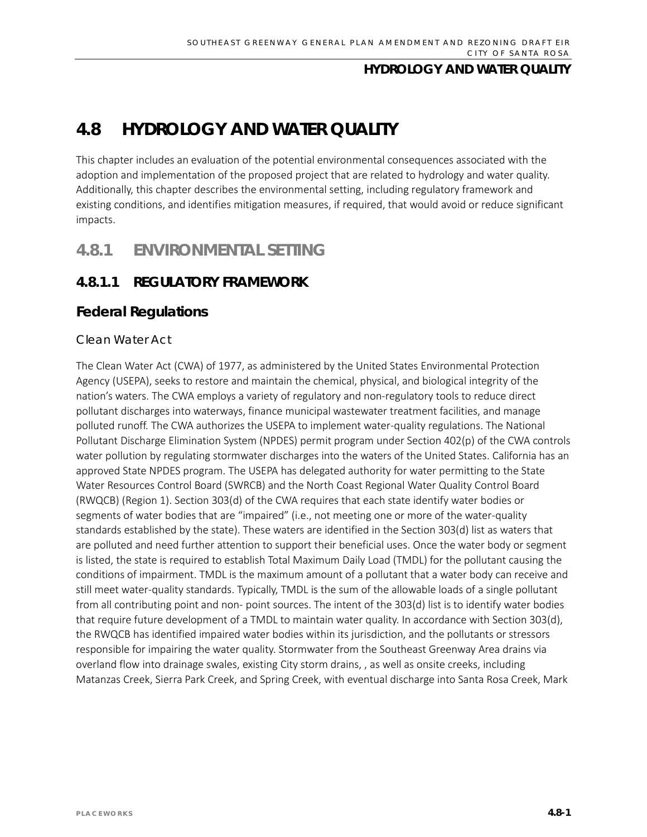# **4.8 HYDROLOGY AND WATER QUALITY**

This chapter includes an evaluation of the potential environmental consequences associated with the adoption and implementation of the proposed project that are related to hydrology and water quality. Additionally, this chapter describes the environmental setting, including regulatory framework and existing conditions, and identifies mitigation measures, if required, that would avoid or reduce significant impacts.

## **4.8.1 ENVIRONMENTAL SETTING**

## **4.8.1.1 REGULATORY FRAMEWORK**

### **Federal Regulations**

#### *Clean Water Act*

The Clean Water Act (CWA) of 1977, as administered by the United States Environmental Protection Agency (USEPA), seeks to restore and maintain the chemical, physical, and biological integrity of the nation's waters. The CWA employs a variety of regulatory and non-regulatory tools to reduce direct pollutant discharges into waterways, finance municipal wastewater treatment facilities, and manage polluted runoff. The CWA authorizes the USEPA to implement water-quality regulations. The National Pollutant Discharge Elimination System (NPDES) permit program under Section 402(p) of the CWA controls water pollution by regulating stormwater discharges into the waters of the United States. California has an approved State NPDES program. The USEPA has delegated authority for water permitting to the State Water Resources Control Board (SWRCB) and the North Coast Regional Water Quality Control Board (RWQCB) (Region 1). Section 303(d) of the CWA requires that each state identify water bodies or segments of water bodies that are "impaired" (i.e., not meeting one or more of the water-quality standards established by the state). These waters are identified in the Section 303(d) list as waters that are polluted and need further attention to support their beneficial uses. Once the water body or segment is listed, the state is required to establish Total Maximum Daily Load (TMDL) for the pollutant causing the conditions of impairment. TMDL is the maximum amount of a pollutant that a water body can receive and still meet water-quality standards. Typically, TMDL is the sum of the allowable loads of a single pollutant from all contributing point and non- point sources. The intent of the 303(d) list is to identify water bodies that require future development of a TMDL to maintain water quality. In accordance with Section 303(d), the RWQCB has identified impaired water bodies within its jurisdiction, and the pollutants or stressors responsible for impairing the water quality. Stormwater from the Southeast Greenway Area drains via overland flow into drainage swales, existing City storm drains, , as well as onsite creeks, including Matanzas Creek, Sierra Park Creek, and Spring Creek, with eventual discharge into Santa Rosa Creek, Mark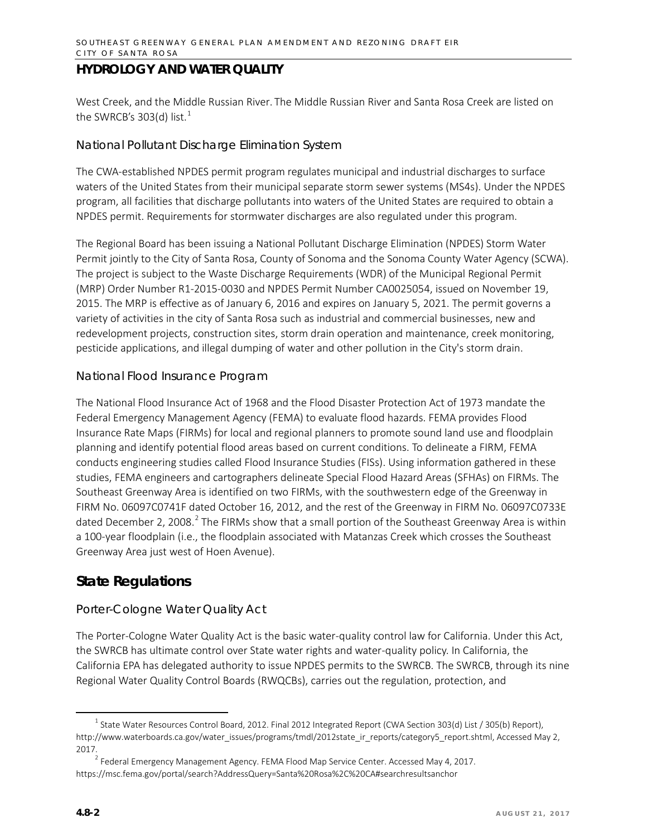West Creek, and the Middle Russian River. The Middle Russian River and Santa Rosa Creek are listed on the SWRCB's 303(d) list.<sup>[1](#page-1-0)</sup>

#### *National Pollutant Discharge Elimination System*

The CWA-established NPDES permit program regulates municipal and industrial discharges to surface waters of the United States from their municipal separate storm sewer systems (MS4s). Under the NPDES program, all facilities that discharge pollutants into waters of the United States are required to obtain a NPDES permit. Requirements for stormwater discharges are also regulated under this program.

The Regional Board has been issuing a National Pollutant Discharge Elimination (NPDES) Storm Water Permit jointly to the City of Santa Rosa, County of Sonoma and the Sonoma County Water Agency (SCWA). The project is subject to the Waste Discharge Requirements (WDR) of the Municipal Regional Permit (MRP) Order Number R1-2015-0030 and NPDES Permit Number CA0025054, issued on November 19, 2015. The MRP is effective as of January 6, 2016 and expires on January 5, 2021. The permit governs a variety of activities in the city of Santa Rosa such as industrial and commercial businesses, new and redevelopment projects, construction sites, storm drain operation and maintenance, creek monitoring, pesticide applications, and illegal dumping of water and other pollution in the City's storm drain.

#### *National Flood Insurance Program*

The National Flood Insurance Act of 1968 and the Flood Disaster Protection Act of 1973 mandate the Federal Emergency Management Agency (FEMA) to evaluate flood hazards. FEMA provides Flood Insurance Rate Maps (FIRMs) for local and regional planners to promote sound land use and floodplain planning and identify potential flood areas based on current conditions. To delineate a FIRM, FEMA conducts engineering studies called Flood Insurance Studies (FISs). Using information gathered in these studies, FEMA engineers and cartographers delineate Special Flood Hazard Areas (SFHAs) on FIRMs. The Southeast Greenway Area is identified on two FIRMs, with the southwestern edge of the Greenway in FIRM No. 06097C0741F dated October 16, 2012, and the rest of the Greenway in FIRM No. 06097C0733E dated December [2](#page-1-1), 2008.<sup>2</sup> The FIRMs show that a small portion of the Southeast Greenway Area is within a 100-year floodplain (i.e., the floodplain associated with Matanzas Creek which crosses the Southeast Greenway Area just west of Hoen Avenue).

## **State Regulations**

### *Porter-Cologne Water Quality Act*

The Porter-Cologne Water Quality Act is the basic water-quality control law for California. Under this Act, the SWRCB has ultimate control over State water rights and water-quality policy. In California, the California EPA has delegated authority to issue NPDES permits to the SWRCB. The SWRCB, through its nine Regional Water Quality Control Boards (RWQCBs), carries out the regulation, protection, and

<span id="page-1-0"></span> $1$  State Water Resources Control Board, 2012. Final 2012 Integrated Report (CWA Section 303(d) List / 305(b) Report), [http://www.waterboards.ca.gov/water\\_issues/programs/tmdl/2012state\\_ir\\_reports/category5\\_report.shtml,](http://www.waterboards.ca.gov/water_issues/programs/tmdl/2012state_ir_reports/category5_report.shtml) Accessed May 2, 2017.<br><sup>2</sup> Federal Emergency Management Agency. FEMA Flood Map Service Center. Accessed May 4, 2017.

<span id="page-1-1"></span>https://msc.fema.gov/portal/search?AddressQuery=Santa%20Rosa%2C%20CA#searchresultsanchor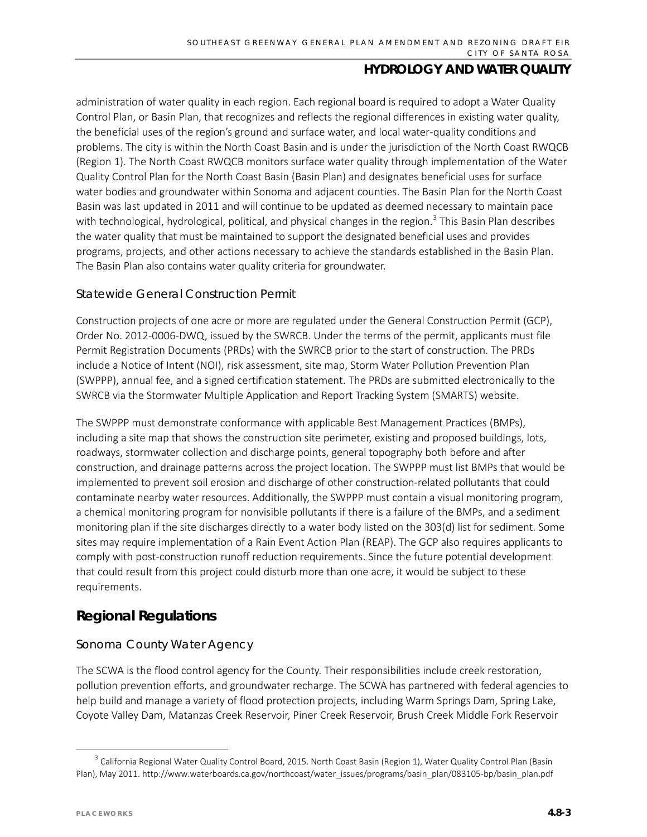administration of water quality in each region. Each regional board is required to adopt a Water Quality Control Plan, or Basin Plan, that recognizes and reflects the regional differences in existing water quality, the beneficial uses of the region's ground and surface water, and local water-quality conditions and problems. The city is within the North Coast Basin and is under the jurisdiction of the North Coast RWQCB (Region 1). The North Coast RWQCB monitors surface water quality through implementation of the Water Quality Control Plan for the North Coast Basin (Basin Plan) and designates beneficial uses for surface water bodies and groundwater within Sonoma and adjacent counties. The Basin Plan for the North Coast Basin was last updated in 2011 and will continue to be updated as deemed necessary to maintain pace with technological, hydrological, political, and physical changes in the region.<sup>[3](#page-2-0)</sup> This Basin Plan describes the water quality that must be maintained to support the designated beneficial uses and provides programs, projects, and other actions necessary to achieve the standards established in the Basin Plan. The Basin Plan also contains water quality criteria for groundwater.

#### *Statewide General Construction Permit*

Construction projects of one acre or more are regulated under the General Construction Permit (GCP), Order No. 2012-0006-DWQ, issued by the SWRCB. Under the terms of the permit, applicants must file Permit Registration Documents (PRDs) with the SWRCB prior to the start of construction. The PRDs include a Notice of Intent (NOI), risk assessment, site map, Storm Water Pollution Prevention Plan (SWPPP), annual fee, and a signed certification statement. The PRDs are submitted electronically to the SWRCB via the Stormwater Multiple Application and Report Tracking System (SMARTS) website.

The SWPPP must demonstrate conformance with applicable Best Management Practices (BMPs), including a site map that shows the construction site perimeter, existing and proposed buildings, lots, roadways, stormwater collection and discharge points, general topography both before and after construction, and drainage patterns across the project location. The SWPPP must list BMPs that would be implemented to prevent soil erosion and discharge of other construction-related pollutants that could contaminate nearby water resources. Additionally, the SWPPP must contain a visual monitoring program, a chemical monitoring program for nonvisible pollutants if there is a failure of the BMPs, and a sediment monitoring plan if the site discharges directly to a water body listed on the 303(d) list for sediment. Some sites may require implementation of a Rain Event Action Plan (REAP). The GCP also requires applicants to comply with post-construction runoff reduction requirements. Since the future potential development that could result from this project could disturb more than one acre, it would be subject to these requirements.

## **Regional Regulations**

### *Sonoma County Water Agency*

The SCWA is the flood control agency for the County. Their responsibilities include creek restoration, pollution prevention efforts, and groundwater recharge. The SCWA has partnered with federal agencies to help build and manage a variety of flood protection projects, including Warm Springs Dam, Spring Lake, Coyote Valley Dam, Matanzas Creek Reservoir, Piner Creek Reservoir, Brush Creek Middle Fork Reservoir

<span id="page-2-0"></span><sup>&</sup>lt;sup>3</sup> California Regional Water Quality Control Board, 2015. North Coast Basin (Region 1), Water Quality Control Plan (Basin Plan), May 2011. http://www.waterboards.ca.gov/northcoast/water\_issues/programs/basin\_plan/083105-bp/basin\_plan.pdf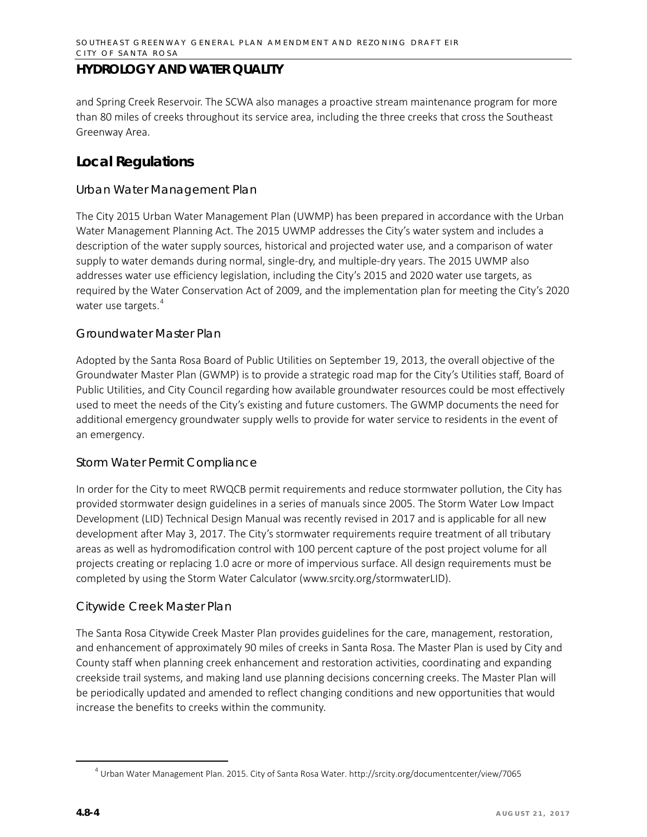and Spring Creek Reservoir. The SCWA also manages a proactive stream maintenance program for more than 80 miles of creeks throughout its service area, including the three creeks that cross the Southeast Greenway Area.

## **Local Regulations**

#### *Urban Water Management Plan*

The City 2015 Urban Water Management Plan (UWMP) has been prepared in accordance with the Urban Water Management Planning Act. The 2015 UWMP addresses the City's water system and includes a description of the water supply sources, historical and projected water use, and a comparison of water supply to water demands during normal, single-dry, and multiple-dry years. The 2015 UWMP also addresses water use efficiency legislation, including the City's 2015 and 2020 water use targets, as required by the Water Conservation Act of 2009, and the implementation plan for meeting the City's 2020 water use targets.<sup>[4](#page-3-0)</sup>

#### *Groundwater Master Plan*

Adopted by the Santa Rosa Board of Public Utilities on September 19, 2013, the overall objective of the Groundwater Master Plan (GWMP) is to provide a strategic road map for the City's Utilities staff, Board of Public Utilities, and City Council regarding how available groundwater resources could be most effectively used to meet the needs of the City's existing and future customers. The GWMP documents the need for additional emergency groundwater supply wells to provide for water service to residents in the event of an emergency.

#### *Storm Water Permit Compliance*

In order for the City to meet RWQCB permit requirements and reduce stormwater pollution, the City has provided stormwater design guidelines in a series of manuals since 2005. The Storm Water Low Impact Development (LID) Technical Design Manual was recently revised in 2017 and is applicable for all new development after May 3, 2017. The City's stormwater requirements require treatment of all tributary areas as well as hydromodification control with 100 percent capture of the post project volume for all projects creating or replacing 1.0 acre or more of impervious surface. All design requirements must be completed by using the Storm Water Calculator [\(www.srcity.org/stormwaterLID\)](http://www.srcity.org/stormwaterLID).

#### *Citywide Creek Master Plan*

The Santa Rosa Citywide Creek Master Plan provides guidelines for the care, management, restoration, and enhancement of approximately 90 miles of creeks in Santa Rosa. The Master Plan is used by City and County staff when planning creek enhancement and restoration activities, coordinating and expanding creekside trail systems, and making land use planning decisions concerning creeks. The Master Plan will be periodically updated and amended to reflect changing conditions and new opportunities that would increase the benefits to creeks within the community.

<span id="page-3-0"></span> <sup>4</sup> Urban Water Management Plan. 2015. City of Santa Rosa Water. http://srcity.org/documentcenter/view/7065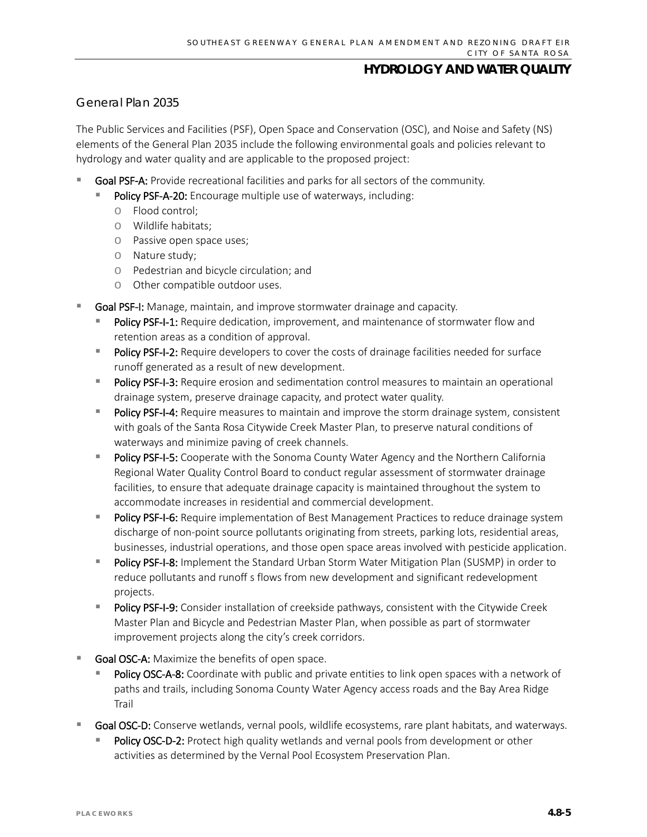#### *General Plan 2035*

The Public Services and Facilities (PSF), Open Space and Conservation (OSC), and Noise and Safety (NS) elements of the General Plan 2035 include the following environmental goals and policies relevant to hydrology and water quality and are applicable to the proposed project:

- Goal PSF-A: Provide recreational facilities and parks for all sectors of the community.
	- Policy PSF-A-20: Encourage multiple use of waterways, including:
		- o Flood control;
		- o Wildlife habitats;
		- o Passive open space uses;
		- o Nature study;
		- o Pedestrian and bicycle circulation; and
		- o Other compatible outdoor uses.
- Goal PSF-I: Manage, maintain, and improve stormwater drainage and capacity.
	- Policy PSF-I-1: Require dedication, improvement, and maintenance of stormwater flow and retention areas as a condition of approval.
	- Policy PSF-I-2: Require developers to cover the costs of drainage facilities needed for surface runoff generated as a result of new development.
	- Policy PSF-I-3: Require erosion and sedimentation control measures to maintain an operational drainage system, preserve drainage capacity, and protect water quality.
	- Policy PSF-I-4: Require measures to maintain and improve the storm drainage system, consistent with goals of the Santa Rosa Citywide Creek Master Plan, to preserve natural conditions of waterways and minimize paving of creek channels.
	- Policy PSF-I-5: Cooperate with the Sonoma County Water Agency and the Northern California Regional Water Quality Control Board to conduct regular assessment of stormwater drainage facilities, to ensure that adequate drainage capacity is maintained throughout the system to accommodate increases in residential and commercial development.
	- Policy PSF-I-6: Require implementation of Best Management Practices to reduce drainage system discharge of non-point source pollutants originating from streets, parking lots, residential areas, businesses, industrial operations, and those open space areas involved with pesticide application.
	- Policy PSF-I-8: Implement the Standard Urban Storm Water Mitigation Plan (SUSMP) in order to reduce pollutants and runoff s flows from new development and significant redevelopment projects.
	- **Policy PSF-I-9:** Consider installation of creekside pathways, consistent with the Citywide Creek Master Plan and Bicycle and Pedestrian Master Plan, when possible as part of stormwater improvement projects along the city's creek corridors.
- Goal OSC-A: Maximize the benefits of open space.
	- Policy OSC-A-8: Coordinate with public and private entities to link open spaces with a network of paths and trails, including Sonoma County Water Agency access roads and the Bay Area Ridge Trail
- Goal OSC-D: Conserve wetlands, vernal pools, wildlife ecosystems, rare plant habitats, and waterways.
	- Policy OSC-D-2: Protect high quality wetlands and vernal pools from development or other activities as determined by the Vernal Pool Ecosystem Preservation Plan.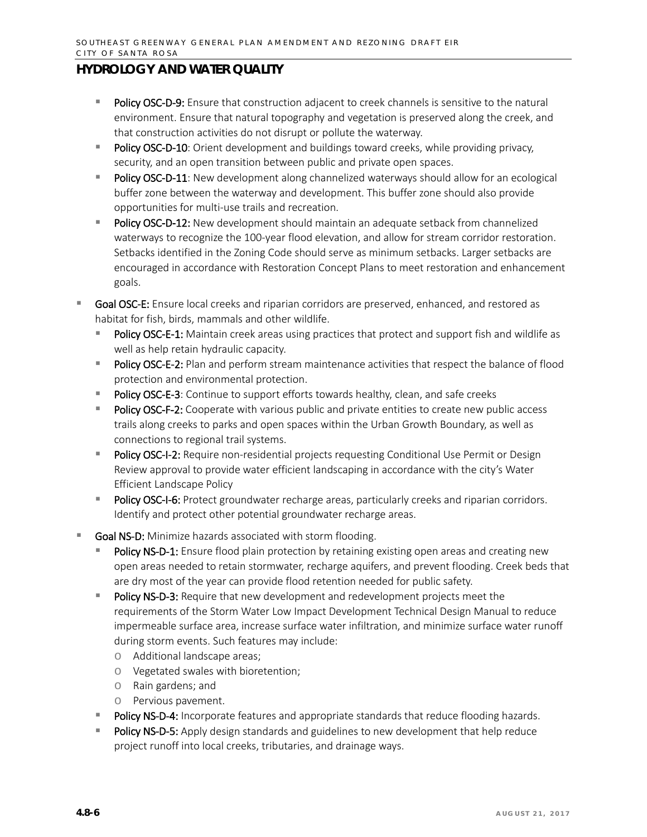- Policy OSC-D-9: Ensure that construction adjacent to creek channels is sensitive to the natural environment. Ensure that natural topography and vegetation is preserved along the creek, and that construction activities do not disrupt or pollute the waterway.
- Policy OSC-D-10: Orient development and buildings toward creeks, while providing privacy, security, and an open transition between public and private open spaces.
- Policy OSC-D-11: New development along channelized waterways should allow for an ecological buffer zone between the waterway and development. This buffer zone should also provide opportunities for multi-use trails and recreation.
- Policy OSC-D-12: New development should maintain an adequate setback from channelized waterways to recognize the 100-year flood elevation, and allow for stream corridor restoration. Setbacks identified in the Zoning Code should serve as minimum setbacks. Larger setbacks are encouraged in accordance with Restoration Concept Plans to meet restoration and enhancement goals.
- Goal OSC-E: Ensure local creeks and riparian corridors are preserved, enhanced, and restored as habitat for fish, birds, mammals and other wildlife.
	- Policy OSC-E-1: Maintain creek areas using practices that protect and support fish and wildlife as well as help retain hydraulic capacity.
	- Policy OSC-E-2: Plan and perform stream maintenance activities that respect the balance of flood protection and environmental protection.
	- Policy OSC-E-3: Continue to support efforts towards healthy, clean, and safe creeks
	- Policy OSC-F-2: Cooperate with various public and private entities to create new public access trails along creeks to parks and open spaces within the Urban Growth Boundary, as well as connections to regional trail systems.
	- Policy OSC-I-2: Require non-residential projects requesting Conditional Use Permit or Design Review approval to provide water efficient landscaping in accordance with the city's Water Efficient Landscape Policy
	- Policy OSC-I-6: Protect groundwater recharge areas, particularly creeks and riparian corridors. Identify and protect other potential groundwater recharge areas.
- Goal NS-D: Minimize hazards associated with storm flooding.
	- Policy NS-D-1: Ensure flood plain protection by retaining existing open areas and creating new open areas needed to retain stormwater, recharge aquifers, and prevent flooding. Creek beds that are dry most of the year can provide flood retention needed for public safety.
	- Policy NS-D-3: Require that new development and redevelopment projects meet the requirements of the Storm Water Low Impact Development Technical Design Manual to reduce impermeable surface area, increase surface water infiltration, and minimize surface water runoff during storm events. Such features may include:
		- o Additional landscape areas;
		- o Vegetated swales with bioretention;
		- o Rain gardens; and
		- o Pervious pavement.
	- Policy NS-D-4: Incorporate features and appropriate standards that reduce flooding hazards.
	- Policy NS-D-5: Apply design standards and guidelines to new development that help reduce project runoff into local creeks, tributaries, and drainage ways.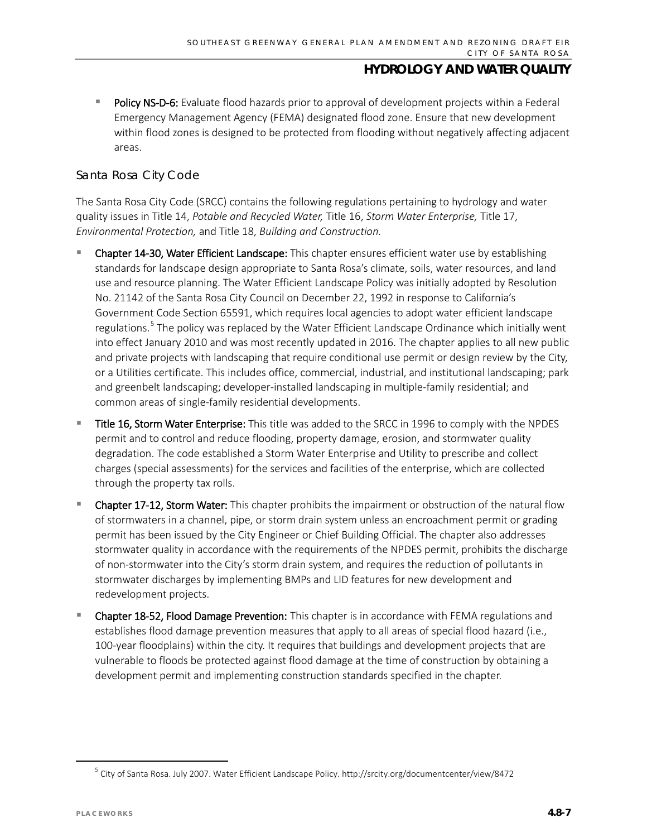Policy NS-D-6: Evaluate flood hazards prior to approval of development projects within a Federal Emergency Management Agency (FEMA) designated flood zone. Ensure that new development within flood zones is designed to be protected from flooding without negatively affecting adjacent areas.

#### *Santa Rosa City Code*

The Santa Rosa City Code (SRCC) contains the following regulations pertaining to hydrology and water quality issues in Title 14, *Potable and Recycled Water,* Title 16, *Storm Water Enterprise,* Title 17, *Environmental Protection,* and Title 18, *Building and Construction.*

- Chapter 14-30, Water Efficient Landscape: This chapter ensures efficient water use by establishing standards for landscape design appropriate to Santa Rosa's climate, soils, water resources, and land use and resource planning. The Water Efficient Landscape Policy was initially adopted by Resolution No. 21142 of the Santa Rosa City Council on December 22, 1992 in response to California's Government Code Section 65591, which requires local agencies to adopt water efficient landscape regulations.<sup>[5](#page-6-0)</sup> The policy was replaced by the Water Efficient Landscape Ordinance which initially went into effect January 2010 and was most recently updated in 2016. The chapter applies to all new public and private projects with landscaping that require conditional use permit or design review by the City, or a Utilities certificate. This includes office, commercial, industrial, and institutional landscaping; park and greenbelt landscaping; developer-installed landscaping in multiple-family residential; and common areas of single-family residential developments.
- Title 16, Storm Water Enterprise: This title was added to the SRCC in 1996 to comply with the NPDES permit and to control and reduce flooding, property damage, erosion, and stormwater quality degradation. The code established a Storm Water Enterprise and Utility to prescribe and collect charges (special assessments) for the services and facilities of the enterprise, which are collected through the property tax rolls.
- Chapter 17-12, Storm Water: This chapter prohibits the impairment or obstruction of the natural flow of stormwaters in a channel, pipe, or storm drain system unless an encroachment permit or grading permit has been issued by the City Engineer or Chief Building Official. The chapter also addresses stormwater quality in accordance with the requirements of the NPDES permit, prohibits the discharge of non-stormwater into the City's storm drain system, and requires the reduction of pollutants in stormwater discharges by implementing BMPs and LID features for new development and redevelopment projects.
- Chapter 18-52, Flood Damage Prevention: This chapter is in accordance with FEMA regulations and establishes flood damage prevention measures that apply to all areas of special flood hazard (i.e., 100-year floodplains) within the city. It requires that buildings and development projects that are vulnerable to floods be protected against flood damage at the time of construction by obtaining a development permit and implementing construction standards specified in the chapter.

<span id="page-6-0"></span><sup>&</sup>lt;sup>5</sup> City of Santa Rosa. July 2007. Water Efficient Landscape Policy. http://srcity.org/documentcenter/view/8472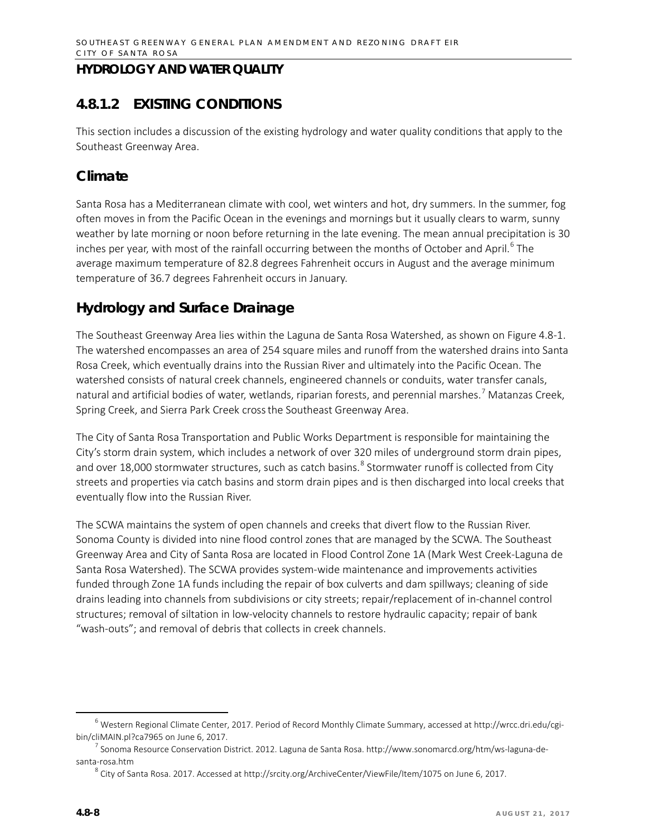## **4.8.1.2 EXISTING CONDITIONS**

This section includes a discussion of the existing hydrology and water quality conditions that apply to the Southeast Greenway Area.

## **Climate**

Santa Rosa has a Mediterranean climate with cool, wet winters and hot, dry summers. In the summer, fog often moves in from the Pacific Ocean in the evenings and mornings but it usually clears to warm, sunny weather by late morning or noon before returning in the late evening. The mean annual precipitation is 30 inches per year, with most of the rainfall occurring between the months of October and April.<sup>[6](#page-7-0)</sup> The average maximum temperature of 82.8 degrees Fahrenheit occurs in August and the average minimum temperature of 36.7 degrees Fahrenheit occurs in January.

## **Hydrology and Surface Drainage**

The Southeast Greenway Area lies within the Laguna de Santa Rosa Watershed, as shown on Figure 4.8-1. The watershed encompasses an area of 254 square miles and runoff from the watershed drains into Santa Rosa Creek, which eventually drains into the Russian River and ultimately into the Pacific Ocean. The watershed consists of natural creek channels, engineered channels or conduits, water transfer canals, natural and artificial bodies of water, wetlands, riparian forests, and perennial marshes.<sup>[7](#page-7-1)</sup> Matanzas Creek, Spring Creek, and Sierra Park Creek crossthe Southeast Greenway Area.

The City of Santa Rosa Transportation and Public Works Department is responsible for maintaining the City's storm drain system, which includes a network of over 320 miles of underground storm drain pipes, and over 1[8](#page-7-2),000 stormwater structures, such as catch basins.<sup>8</sup> Stormwater runoff is collected from City streets and properties via catch basins and storm drain pipes and is then discharged into local creeks that eventually flow into the Russian River.

The SCWA maintains the system of open channels and creeks that divert flow to the Russian River. Sonoma County is divided into nine flood control zones that are managed by the SCWA. The Southeast Greenway Area and City of Santa Rosa are located in Flood Control Zone 1A (Mark West Creek-Laguna de Santa Rosa Watershed). The SCWA provides system-wide maintenance and improvements activities funded through Zone 1A funds including the repair of box culverts and dam spillways; cleaning of side drains leading into channels from subdivisions or city streets; repair/replacement of in-channel control structures; removal of siltation in low-velocity channels to restore hydraulic capacity; repair of bank "wash-outs"; and removal of debris that collects in creek channels.

<span id="page-7-0"></span> <sup>6</sup> Western Regional Climate Center, 2017. Period of Record Monthly Climate Summary, accessed at [http://wrcc.dri.edu/cgi](http://wrcc.dri.edu/cgi-bin/cliMAIN.pl?ca7965)[bin/cliMAIN.pl?ca7965](http://wrcc.dri.edu/cgi-bin/cliMAIN.pl?ca7965) on June 6, 2017.

<span id="page-7-2"></span><span id="page-7-1"></span> $^7$  Sonoma Resource Conservation District. 2012. Laguna de Santa Rosa. http://www.sonomarcd.org/htm/ws-laguna-desanta-rosa.htm

 $8$  City of Santa Rosa. 2017. Accessed at [http://srcity.org/ArchiveCenter/ViewFile/Item/1075](http://srcity.org/ArchiveCenter/ViewFile/Item/1075%20on%20June%206) on June 6, 2017.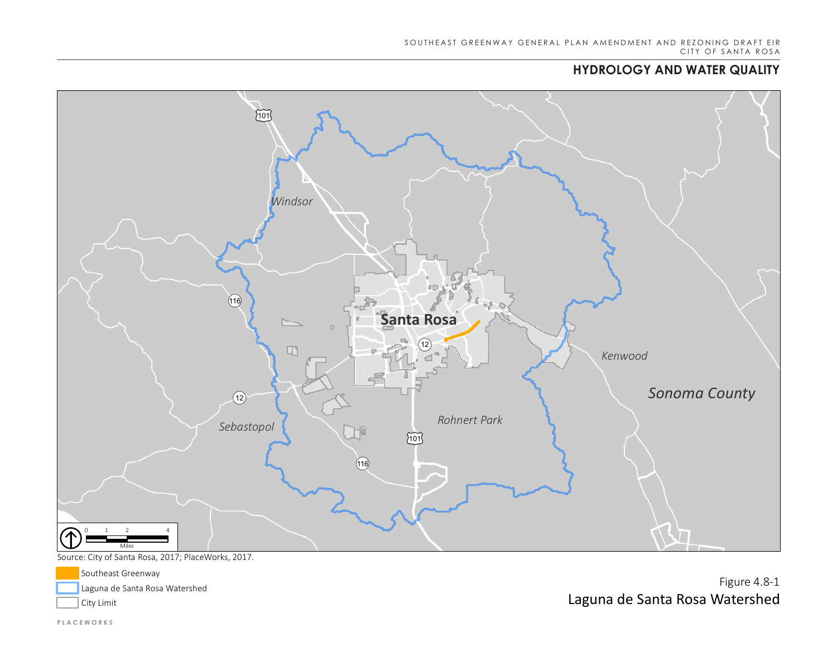# **HYDROLOGY AND WATER QUALITY HYDROLOGY AND WATER QUALITY**



Source: City of Santa Rosa, 2017; PlaceWorks, 2017.

Southeast Greenway Laguna de Santa Rosa Watershed

City Limit

Figure 4.8-1 Laguna de Santa Rosa Watershed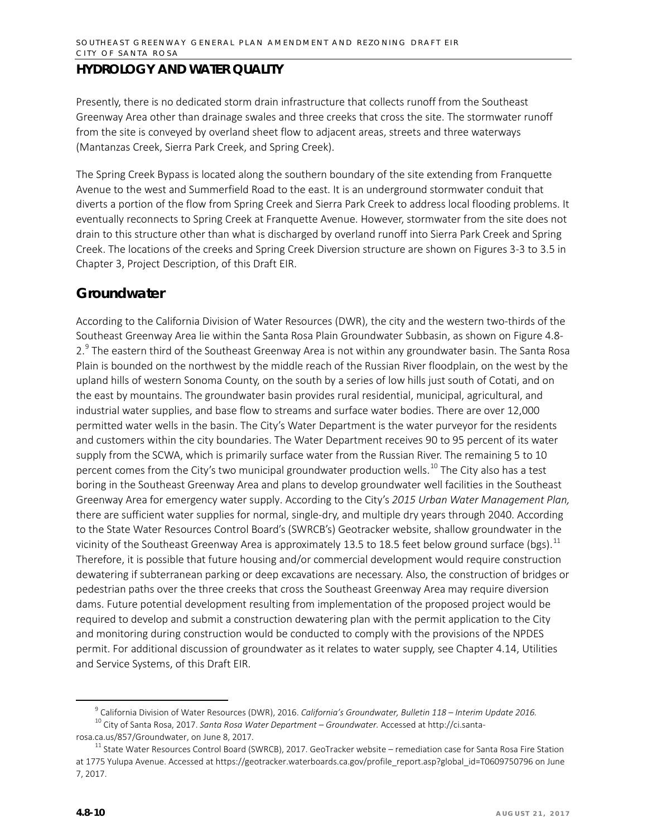Presently, there is no dedicated storm drain infrastructure that collects runoff from the Southeast Greenway Area other than drainage swales and three creeks that cross the site. The stormwater runoff from the site is conveyed by overland sheet flow to adjacent areas, streets and three waterways (Mantanzas Creek, Sierra Park Creek, and Spring Creek).

The Spring Creek Bypass is located along the southern boundary of the site extending from Franquette Avenue to the west and Summerfield Road to the east. It is an underground stormwater conduit that diverts a portion of the flow from Spring Creek and Sierra Park Creek to address local flooding problems. It eventually reconnects to Spring Creek at Franquette Avenue. However, stormwater from the site does not drain to this structure other than what is discharged by overland runoff into Sierra Park Creek and Spring Creek. The locations of the creeks and Spring Creek Diversion structure are shown on Figures 3-3 to 3.5 in Chapter 3, Project Description, of this Draft EIR.

## **Groundwater**

According to the California Division of Water Resources (DWR), the city and the western two-thirds of the Southeast Greenway Area lie within the Santa Rosa Plain Groundwater Subbasin, as shown on Figure 4.8- 2.<sup>[9](#page-9-0)</sup> The eastern third of the Southeast Greenway Area is not within any groundwater basin. The Santa Rosa Plain is bounded on the northwest by the middle reach of the Russian River floodplain, on the west by the upland hills of western Sonoma County, on the south by a series of low hills just south of Cotati, and on the east by mountains. The groundwater basin provides rural residential, municipal, agricultural, and industrial water supplies, and base flow to streams and surface water bodies. There are over 12,000 permitted water wells in the basin. The City's Water Department is the water purveyor for the residents and customers within the city boundaries. The Water Department receives 90 to 95 percent of its water supply from the SCWA, which is primarily surface water from the Russian River. The remaining 5 to 10 percent comes from the City's two municipal groundwater production wells.<sup>[10](#page-9-1)</sup> The City also has a test boring in the Southeast Greenway Area and plans to develop groundwater well facilities in the Southeast Greenway Area for emergency water supply. According to the City's *2015 Urban Water Management Plan,*  there are sufficient water supplies for normal, single-dry, and multiple dry years through 2040. According to the State Water Resources Control Board's (SWRCB's) Geotracker website, shallow groundwater in the vicinity of the Southeast Greenway Area is approximately 13.5 to 18.5 feet below ground surface (bgs).<sup>[11](#page-9-2)</sup> Therefore, it is possible that future housing and/or commercial development would require construction dewatering if subterranean parking or deep excavations are necessary. Also, the construction of bridges or pedestrian paths over the three creeks that cross the Southeast Greenway Area may require diversion dams. Future potential development resulting from implementation of the proposed project would be required to develop and submit a construction dewatering plan with the permit application to the City and monitoring during construction would be conducted to comply with the provisions of the NPDES permit. For additional discussion of groundwater as it relates to water supply, see Chapter 4.14, Utilities and Service Systems, of this Draft EIR.

 <sup>9</sup> California Division of Water Resources (DWR), 2016. *California's Groundwater, Bulletin 118 – Interim Update 2016.* <sup>10</sup> City of Santa Rosa, 2017. *Santa Rosa Water Department – Groundwater.* Accessed at http://ci.santa-

<span id="page-9-1"></span><span id="page-9-0"></span>rosa.ca.us/857/Groundwater, on June 8, 2017.

<span id="page-9-2"></span> $11$  State Water Resources Control Board (SWRCB), 2017. GeoTracker website – remediation case for Santa Rosa Fire Station at 1775 Yulupa Avenue. Accessed a[t https://geotracker.waterboards.ca.gov/profile\\_report.asp?global\\_id=T0609750796](https://geotracker.waterboards.ca.gov/profile_report.asp?global_id=T0609750796) on June 7, 2017.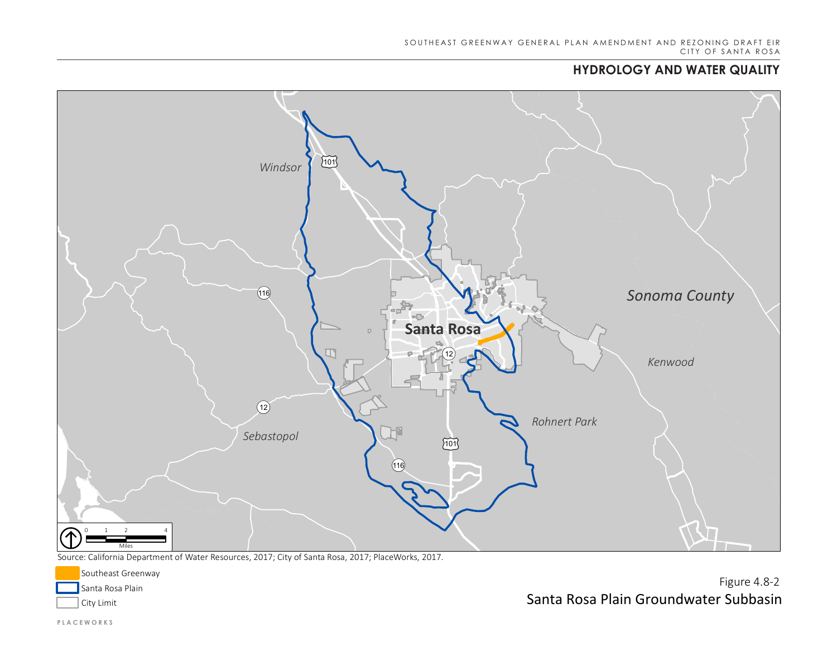# **HYDROLOGY AND WATER QUALITY HYDROLOGY AND WATER QUALITY**



Source: California Department of Water Resources, 2017; City of Santa Rosa, 2017; PlaceWorks, 2017.



Figure 4.8-2 Santa Rosa Plain Groundwater Subbasin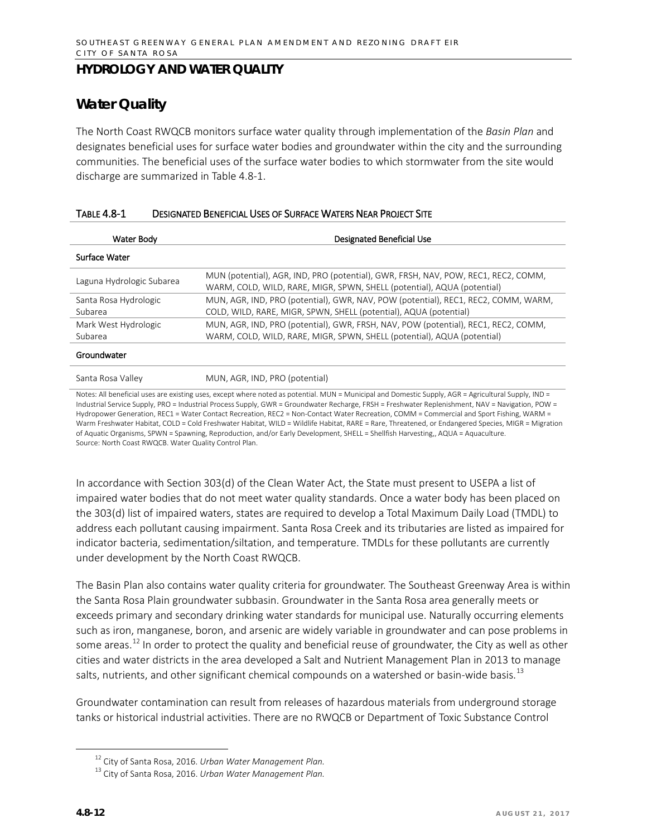## **Water Quality**

The North Coast RWQCB monitors surface water quality through implementation of the *Basin Plan* and designates beneficial uses for surface water bodies and groundwater within the city and the surrounding communities. The beneficial uses of the surface water bodies to which stormwater from the site would discharge are summarized in Table 4.8-1.

| Water Body                | Designated Beneficial Use                                                                                                                                     |
|---------------------------|---------------------------------------------------------------------------------------------------------------------------------------------------------------|
| Surface Water             |                                                                                                                                                               |
| Laguna Hydrologic Subarea | MUN (potential), AGR, IND, PRO (potential), GWR, FRSH, NAV, POW, REC1, REC2, COMM,<br>WARM, COLD, WILD, RARE, MIGR, SPWN, SHELL (potential), AQUA (potential) |
| Santa Rosa Hydrologic     | MUN, AGR, IND, PRO (potential), GWR, NAV, POW (potential), REC1, REC2, COMM, WARM,                                                                            |
| Subarea                   | COLD, WILD, RARE, MIGR, SPWN, SHELL (potential), AQUA (potential)                                                                                             |
| Mark West Hydrologic      | MUN, AGR, IND, PRO (potential), GWR, FRSH, NAV, POW (potential), REC1, REC2, COMM,                                                                            |
| Subarea                   | WARM, COLD, WILD, RARE, MIGR, SPWN, SHELL (potential), AQUA (potential)                                                                                       |
| Groundwater               |                                                                                                                                                               |
| Santa Rosa Valley         | MUN. AGR. IND. PRO (potential)                                                                                                                                |

#### TABLE 4.8-1 DESIGNATED BENEFICIAL USES OF SURFACE WATERS NEAR PROJECT SITE

Notes: All beneficial uses are existing uses, except where noted as potential. MUN = Municipal and Domestic Supply, AGR = Agricultural Supply, IND = Industrial Service Supply, PRO = Industrial Process Supply, GWR = Groundwater Recharge, FRSH = Freshwater Replenishment, NAV = Navigation, POW = Hydropower Generation, REC1 = Water Contact Recreation, REC2 = Non-Contact Water Recreation, COMM = Commercial and Sport Fishing, WARM = Warm Freshwater Habitat, COLD = Cold Freshwater Habitat, WILD = Wildlife Habitat, RARE = Rare, Threatened, or Endangered Species, MIGR = Migration of Aquatic Organisms, SPWN = Spawning, Reproduction, and/or Early Development, SHELL = Shellfish Harvesting,, AQUA = Aquaculture. Source: North Coast RWQCB. Water Quality Control Plan.

In accordance with Section 303(d) of the Clean Water Act, the State must present to USEPA a list of impaired water bodies that do not meet water quality standards. Once a water body has been placed on the 303(d) list of impaired waters, states are required to develop a Total Maximum Daily Load (TMDL) to address each pollutant causing impairment. Santa Rosa Creek and its tributaries are listed as impaired for indicator bacteria, sedimentation/siltation, and temperature. TMDLs for these pollutants are currently under development by the North Coast RWQCB.

The Basin Plan also contains water quality criteria for groundwater. The Southeast Greenway Area is within the Santa Rosa Plain groundwater subbasin. Groundwater in the Santa Rosa area generally meets or exceeds primary and secondary drinking water standards for municipal use. Naturally occurring elements such as iron, manganese, boron, and arsenic are widely variable in groundwater and can pose problems in some areas.<sup>[12](#page-11-0)</sup> In order to protect the quality and beneficial reuse of groundwater, the City as well as other cities and water districts in the area developed a Salt and Nutrient Management Plan in 2013 to manage salts, nutrients, and other significant chemical compounds on a watershed or basin-wide basis.<sup>[13](#page-11-1)</sup>

Groundwater contamination can result from releases of hazardous materials from underground storage tanks or historical industrial activities. There are no RWQCB or Department of Toxic Substance Control

<span id="page-11-0"></span> <sup>12</sup> City of Santa Rosa, 2016. *Urban Water Management Plan.*

<span id="page-11-1"></span><sup>13</sup> City of Santa Rosa, 2016. *Urban Water Management Plan.*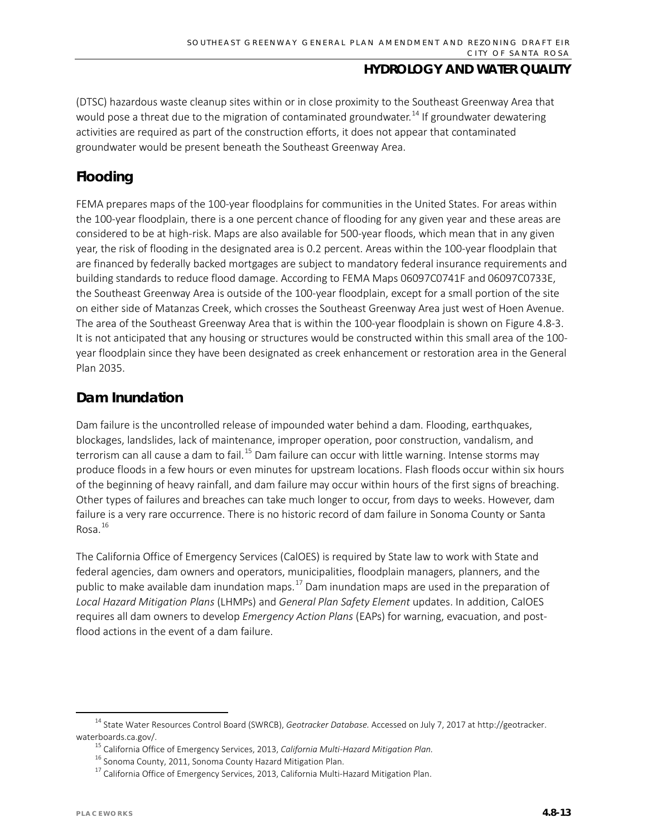(DTSC) hazardous waste cleanup sites within or in close proximity to the Southeast Greenway Area that would pose a threat due to the migration of contaminated groundwater.<sup>[14](#page-12-0)</sup> If groundwater dewatering activities are required as part of the construction efforts, it does not appear that contaminated groundwater would be present beneath the Southeast Greenway Area.

## **Flooding**

FEMA prepares maps of the 100-year floodplains for communities in the United States. For areas within the 100-year floodplain, there is a one percent chance of flooding for any given year and these areas are considered to be at high-risk. Maps are also available for 500-year floods, which mean that in any given year, the risk of flooding in the designated area is 0.2 percent. Areas within the 100-year floodplain that are financed by federally backed mortgages are subject to mandatory federal insurance requirements and building standards to reduce flood damage. According to FEMA Maps 06097C0741F and 06097C0733E, the Southeast Greenway Area is outside of the 100-year floodplain, except for a small portion of the site on either side of Matanzas Creek, which crosses the Southeast Greenway Area just west of Hoen Avenue. The area of the Southeast Greenway Area that is within the 100-year floodplain is shown on Figure 4.8-3. It is not anticipated that any housing or structures would be constructed within this small area of the 100 year floodplain since they have been designated as creek enhancement or restoration area in the General Plan 2035.

## **Dam Inundation**

Dam failure is the uncontrolled release of impounded water behind a dam. Flooding, earthquakes, blockages, landslides, lack of maintenance, improper operation, poor construction, vandalism, and terrorism can all cause a dam to fail.<sup>[15](#page-12-1)</sup> Dam failure can occur with little warning. Intense storms may produce floods in a few hours or even minutes for upstream locations. Flash floods occur within six hours of the beginning of heavy rainfall, and dam failure may occur within hours of the first signs of breaching. Other types of failures and breaches can take much longer to occur, from days to weeks. However, dam failure is a very rare occurrence. There is no historic record of dam failure in Sonoma County or Santa Rosa. [16](#page-12-2)

The California Office of Emergency Services (CalOES) is required by State law to work with State and federal agencies, dam owners and operators, municipalities, floodplain managers, planners, and the public to make available dam inundation maps.<sup>[17](#page-12-3)</sup> Dam inundation maps are used in the preparation of *Local Hazard Mitigation Plans* (LHMPs) and *General Plan Safety Element* updates. In addition, CalOES requires all dam owners to develop *Emergency Action Plans* (EAPs) for warning, evacuation, and postflood actions in the event of a dam failure.

<span id="page-12-3"></span><span id="page-12-2"></span><span id="page-12-1"></span><span id="page-12-0"></span> <sup>14</sup> State Water Resources Control Board (SWRCB), *Geotracker Database.* Accessed on July 7, 2017 at http://geotracker. waterboards.ca.gov/.

<sup>15</sup> California Office of Emergency Services, 2013, *California Multi-Hazard Mitigation Plan.*

<sup>&</sup>lt;sup>16</sup> Sonoma County, 2011, Sonoma County Hazard Mitigation Plan.

 $17$  California Office of Emergency Services, 2013, California Multi-Hazard Mitigation Plan.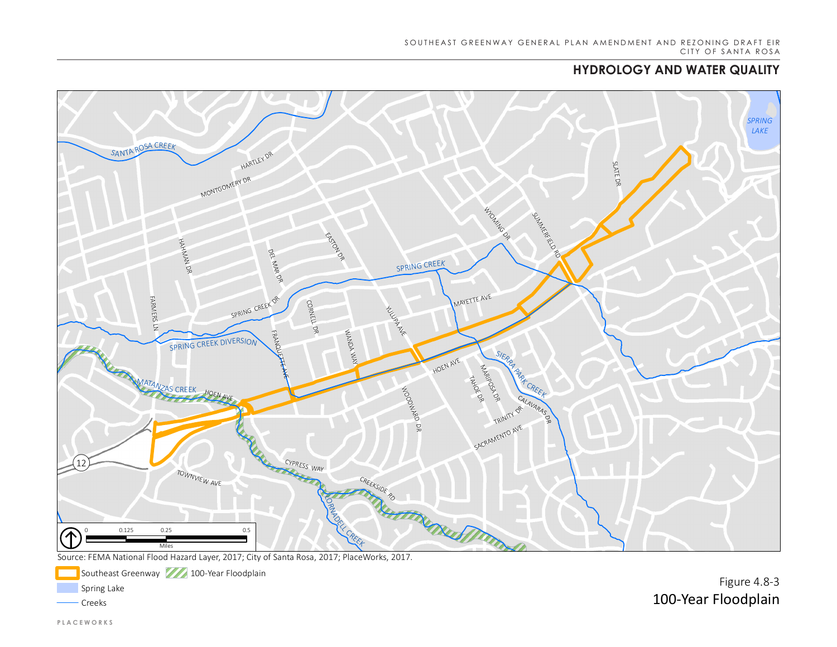# **HYDROLOGY AND WATER QUALITY HYDROLOGY AND WATER QUALITY**



Source: FEMA National Flood Hazard Layer, 2017; City of Santa Rosa, 2017; PlaceWorks, 2017.



Figure 4.8-3 100-Year Floodplain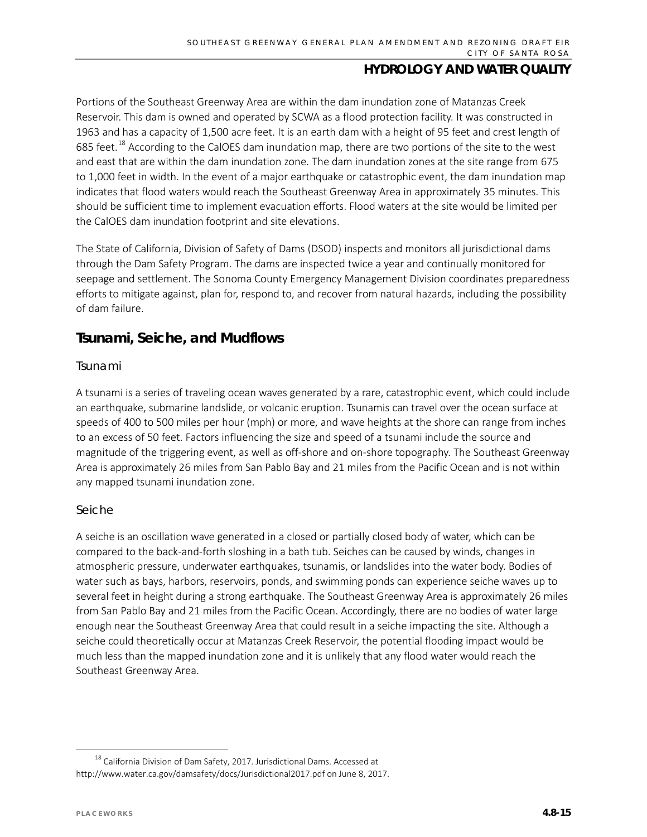Portions of the Southeast Greenway Area are within the dam inundation zone of Matanzas Creek Reservoir. This dam is owned and operated by SCWA as a flood protection facility. It was constructed in 1963 and has a capacity of 1,500 acre feet. It is an earth dam with a height of 95 feet and crest length of 685 feet.<sup>[18](#page-14-0)</sup> According to the CalOES dam inundation map, there are two portions of the site to the west and east that are within the dam inundation zone. The dam inundation zones at the site range from 675 to 1,000 feet in width. In the event of a major earthquake or catastrophic event, the dam inundation map indicates that flood waters would reach the Southeast Greenway Area in approximately 35 minutes. This should be sufficient time to implement evacuation efforts. Flood waters at the site would be limited per the CalOES dam inundation footprint and site elevations.

The State of California, Division of Safety of Dams (DSOD) inspects and monitors all jurisdictional dams through the Dam Safety Program. The dams are inspected twice a year and continually monitored for seepage and settlement. The Sonoma County Emergency Management Division coordinates preparedness efforts to mitigate against, plan for, respond to, and recover from natural hazards, including the possibility of dam failure.

## **Tsunami, Seiche, and Mudflows**

#### *Tsunami*

A tsunami is a series of traveling ocean waves generated by a rare, catastrophic event, which could include an earthquake, submarine landslide, or volcanic eruption. Tsunamis can travel over the ocean surface at speeds of 400 to 500 miles per hour (mph) or more, and wave heights at the shore can range from inches to an excess of 50 feet. Factors influencing the size and speed of a tsunami include the source and magnitude of the triggering event, as well as off-shore and on-shore topography. The Southeast Greenway Area is approximately 26 miles from San Pablo Bay and 21 miles from the Pacific Ocean and is not within any mapped tsunami inundation zone.

#### *Seiche*

A seiche is an oscillation wave generated in a closed or partially closed body of water, which can be compared to the back-and-forth sloshing in a bath tub. Seiches can be caused by winds, changes in atmospheric pressure, underwater earthquakes, tsunamis, or landslides into the water body. Bodies of water such as bays, harbors, reservoirs, ponds, and swimming ponds can experience seiche waves up to several feet in height during a strong earthquake. The Southeast Greenway Area is approximately 26 miles from San Pablo Bay and 21 miles from the Pacific Ocean. Accordingly, there are no bodies of water large enough near the Southeast Greenway Area that could result in a seiche impacting the site. Although a seiche could theoretically occur at Matanzas Creek Reservoir, the potential flooding impact would be much less than the mapped inundation zone and it is unlikely that any flood water would reach the Southeast Greenway Area.

<span id="page-14-0"></span> $18$  California Division of Dam Safety, 2017. Jurisdictional Dams. Accessed at [http://www.water.ca.gov/damsafety/docs/Jurisdictional2017.pdf](http://www.water.ca.gov/damsafety/docs/Jurisdictional2017.pdf%20on%20June%208) on June 8, 2017.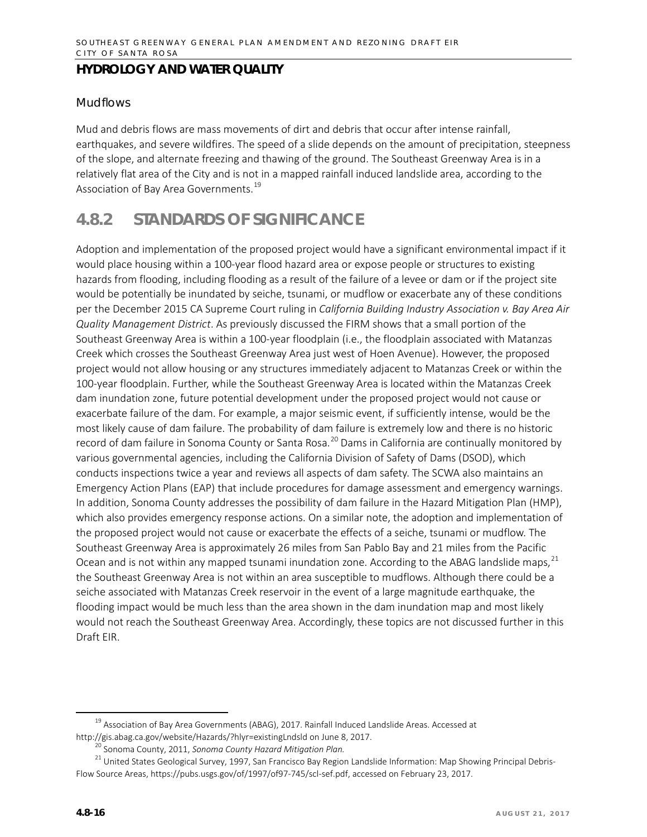#### *Mudflows*

Mud and debris flows are mass movements of dirt and debris that occur after intense rainfall, earthquakes, and severe wildfires. The speed of a slide depends on the amount of precipitation, steepness of the slope, and alternate freezing and thawing of the ground. The Southeast Greenway Area is in a relatively flat area of the City and is not in a mapped rainfall induced landslide area, according to the Association of Bay Area Governments.<sup>[19](#page-15-0)</sup>

# **4.8.2 STANDARDS OF SIGNIFICANCE**

Adoption and implementation of the proposed project would have a significant environmental impact if it would place housing within a 100-year flood hazard area or expose people or structures to existing hazards from flooding, including flooding as a result of the failure of a levee or dam or if the project site would be potentially be inundated by seiche, tsunami, or mudflow or exacerbate any of these conditions per the December 2015 CA Supreme Court ruling in *California Building Industry Association v. Bay Area Air Quality Management District*. As previously discussed the FIRM shows that a small portion of the Southeast Greenway Area is within a 100-year floodplain (i.e., the floodplain associated with Matanzas Creek which crosses the Southeast Greenway Area just west of Hoen Avenue). However, the proposed project would not allow housing or any structures immediately adjacent to Matanzas Creek or within the 100-year floodplain. Further, while the Southeast Greenway Area is located within the Matanzas Creek dam inundation zone, future potential development under the proposed project would not cause or exacerbate failure of the dam. For example, a major seismic event, if sufficiently intense, would be the most likely cause of dam failure. The probability of dam failure is extremely low and there is no historic record of dam failure in Sonoma County or Santa Rosa.<sup>[20](#page-15-1)</sup> Dams in California are continually monitored by various governmental agencies, including the California Division of Safety of Dams (DSOD), which conducts inspections twice a year and reviews all aspects of dam safety. The SCWA also maintains an Emergency Action Plans (EAP) that include procedures for damage assessment and emergency warnings. In addition, Sonoma County addresses the possibility of dam failure in the Hazard Mitigation Plan (HMP), which also provides emergency response actions. On a similar note, the adoption and implementation of the proposed project would not cause or exacerbate the effects of a seiche, tsunami or mudflow. The Southeast Greenway Area is approximately 26 miles from San Pablo Bay and 21 miles from the Pacific Ocean and is not within any mapped tsunami inundation zone. According to the ABAG landslide maps,<sup>[21](#page-15-2)</sup> the Southeast Greenway Area is not within an area susceptible to mudflows. Although there could be a seiche associated with Matanzas Creek reservoir in the event of a large magnitude earthquake, the flooding impact would be much less than the area shown in the dam inundation map and most likely would not reach the Southeast Greenway Area. Accordingly, these topics are not discussed further in this Draft EIR.

<span id="page-15-0"></span><sup>&</sup>lt;sup>19</sup> Association of Bay Area Governments (ABAG), 2017. Rainfall Induced Landslide Areas. Accessed at <http://gis.abag.ca.gov/website/Hazards/?hlyr=existingLndsld> on June 8, 2017.

<sup>&</sup>lt;sup>)</sup> Sonoma County, 2011, *Sonoma County Hazard Mitigation Plan.* 

<span id="page-15-2"></span><span id="page-15-1"></span><sup>&</sup>lt;sup>21</sup> United States Geological Survey, 1997, San Francisco Bay Region Landslide Information: Map Showing Principal Debris-Flow Source Areas, https://pubs.usgs.gov/of/1997/of97-745/scl-sef.pdf, accessed on February 23, 2017.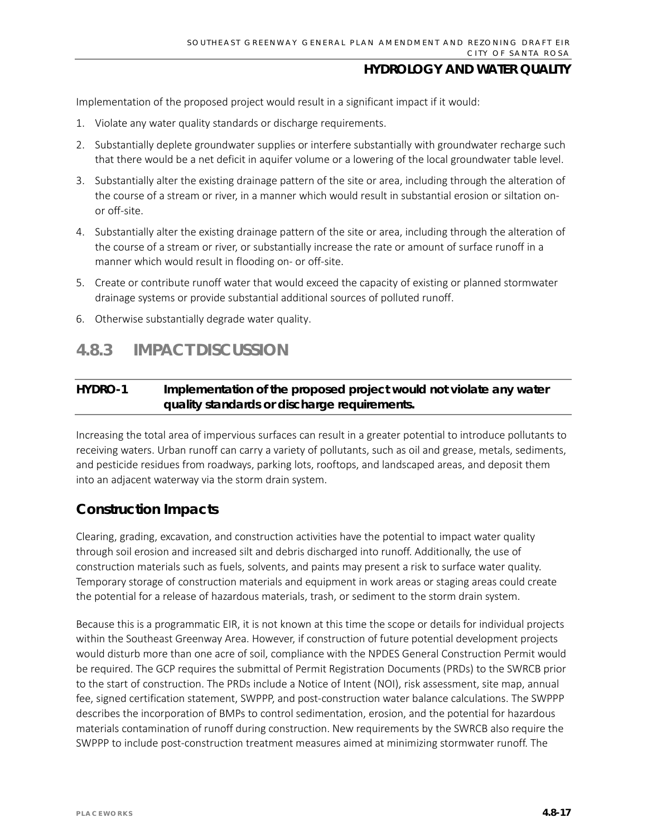Implementation of the proposed project would result in a significant impact if it would:

- 1. Violate any water quality standards or discharge requirements.
- 2. Substantially deplete groundwater supplies or interfere substantially with groundwater recharge such that there would be a net deficit in aquifer volume or a lowering of the local groundwater table level.
- 3. Substantially alter the existing drainage pattern of the site or area, including through the alteration of the course of a stream or river, in a manner which would result in substantial erosion or siltation onor off-site.
- 4. Substantially alter the existing drainage pattern of the site or area, including through the alteration of the course of a stream or river, or substantially increase the rate or amount of surface runoff in a manner which would result in flooding on- or off-site.
- 5. Create or contribute runoff water that would exceed the capacity of existing or planned stormwater drainage systems or provide substantial additional sources of polluted runoff.
- 6. Otherwise substantially degrade water quality.

## **4.8.3 IMPACT DISCUSSION**

### **HYDRO-1 Implementation of the proposed project would not violate any water quality standards or discharge requirements.**

Increasing the total area of impervious surfaces can result in a greater potential to introduce pollutants to receiving waters. Urban runoff can carry a variety of pollutants, such as oil and grease, metals, sediments, and pesticide residues from roadways, parking lots, rooftops, and landscaped areas, and deposit them into an adjacent waterway via the storm drain system.

## **Construction Impacts**

Clearing, grading, excavation, and construction activities have the potential to impact water quality through soil erosion and increased silt and debris discharged into runoff. Additionally, the use of construction materials such as fuels, solvents, and paints may present a risk to surface water quality. Temporary storage of construction materials and equipment in work areas or staging areas could create the potential for a release of hazardous materials, trash, or sediment to the storm drain system.

Because this is a programmatic EIR, it is not known at this time the scope or details for individual projects within the Southeast Greenway Area. However, if construction of future potential development projects would disturb more than one acre of soil, compliance with the NPDES General Construction Permit would be required. The GCP requires the submittal of Permit Registration Documents (PRDs) to the SWRCB prior to the start of construction. The PRDs include a Notice of Intent (NOI), risk assessment, site map, annual fee, signed certification statement, SWPPP, and post-construction water balance calculations. The SWPPP describes the incorporation of BMPs to control sedimentation, erosion, and the potential for hazardous materials contamination of runoff during construction. New requirements by the SWRCB also require the SWPPP to include post-construction treatment measures aimed at minimizing stormwater runoff. The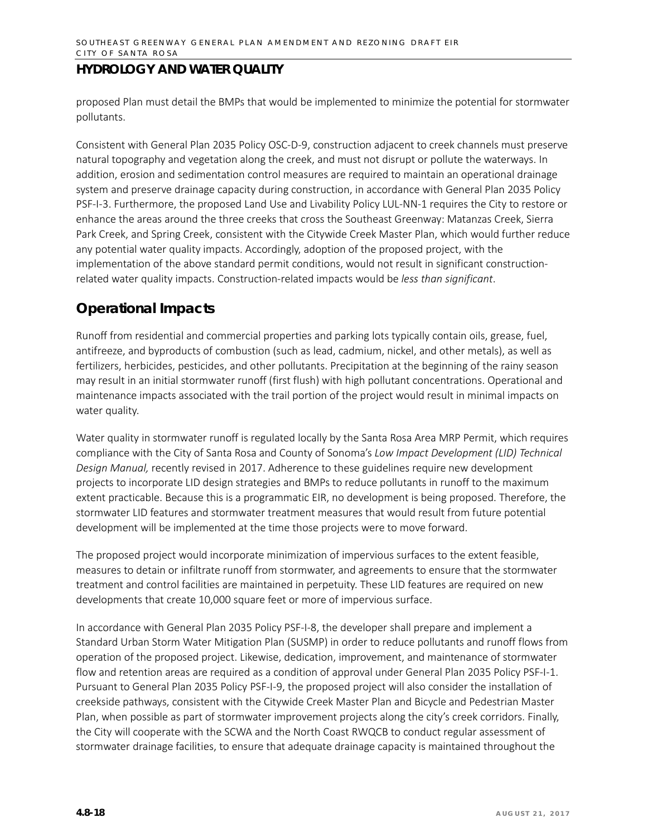proposed Plan must detail the BMPs that would be implemented to minimize the potential for stormwater pollutants.

Consistent with General Plan 2035 Policy OSC-D-9, construction adjacent to creek channels must preserve natural topography and vegetation along the creek, and must not disrupt or pollute the waterways. In addition, erosion and sedimentation control measures are required to maintain an operational drainage system and preserve drainage capacity during construction, in accordance with General Plan 2035 Policy PSF-I-3. Furthermore, the proposed Land Use and Livability Policy LUL-NN-1 requires the City to restore or enhance the areas around the three creeks that cross the Southeast Greenway: Matanzas Creek, Sierra Park Creek, and Spring Creek, consistent with the Citywide Creek Master Plan, which would further reduce any potential water quality impacts. Accordingly, adoption of the proposed project, with the implementation of the above standard permit conditions, would not result in significant constructionrelated water quality impacts. Construction-related impacts would be *less than significant*.

## **Operational Impacts**

Runoff from residential and commercial properties and parking lots typically contain oils, grease, fuel, antifreeze, and byproducts of combustion (such as lead, cadmium, nickel, and other metals), as well as fertilizers, herbicides, pesticides, and other pollutants. Precipitation at the beginning of the rainy season may result in an initial stormwater runoff (first flush) with high pollutant concentrations. Operational and maintenance impacts associated with the trail portion of the project would result in minimal impacts on water quality.

Water quality in stormwater runoff is regulated locally by the Santa Rosa Area MRP Permit, which requires compliance with the City of Santa Rosa and County of Sonoma's *Low Impact Development (LID) Technical Design Manual,* recently revised in 2017. Adherence to these guidelines require new development projects to incorporate LID design strategies and BMPs to reduce pollutants in runoff to the maximum extent practicable. Because this is a programmatic EIR, no development is being proposed. Therefore, the stormwater LID features and stormwater treatment measures that would result from future potential development will be implemented at the time those projects were to move forward.

The proposed project would incorporate minimization of impervious surfaces to the extent feasible, measures to detain or infiltrate runoff from stormwater, and agreements to ensure that the stormwater treatment and control facilities are maintained in perpetuity. These LID features are required on new developments that create 10,000 square feet or more of impervious surface.

In accordance with General Plan 2035 Policy PSF-I-8, the developer shall prepare and implement a Standard Urban Storm Water Mitigation Plan (SUSMP) in order to reduce pollutants and runoff flows from operation of the proposed project. Likewise, dedication, improvement, and maintenance of stormwater flow and retention areas are required as a condition of approval under General Plan 2035 Policy PSF-I-1. Pursuant to General Plan 2035 Policy PSF-I-9, the proposed project will also consider the installation of creekside pathways, consistent with the Citywide Creek Master Plan and Bicycle and Pedestrian Master Plan, when possible as part of stormwater improvement projects along the city's creek corridors. Finally, the City will cooperate with the SCWA and the North Coast RWQCB to conduct regular assessment of stormwater drainage facilities, to ensure that adequate drainage capacity is maintained throughout the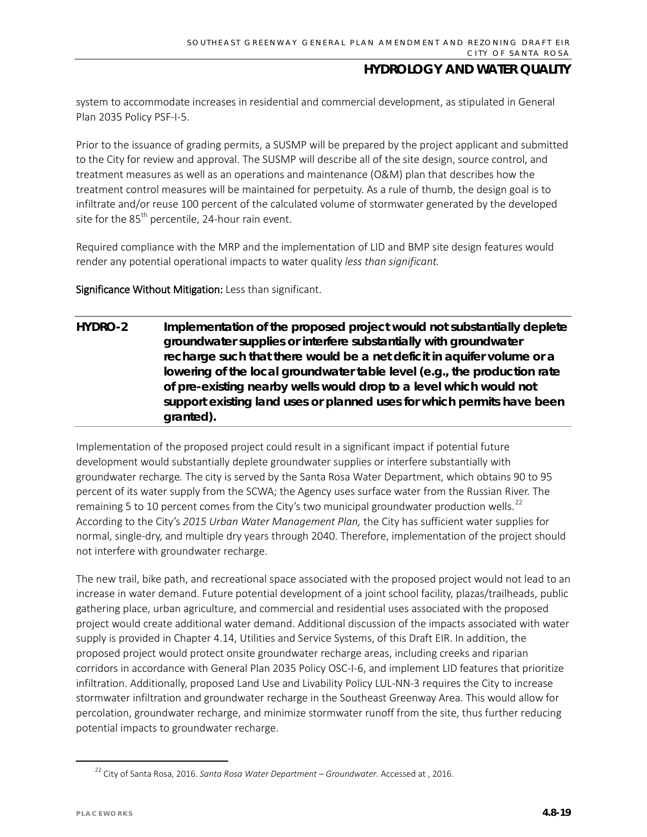system to accommodate increases in residential and commercial development, as stipulated in General Plan 2035 Policy PSF-I-5.

Prior to the issuance of grading permits, a SUSMP will be prepared by the project applicant and submitted to the City for review and approval. The SUSMP will describe all of the site design, source control, and treatment measures as well as an operations and maintenance (O&M) plan that describes how the treatment control measures will be maintained for perpetuity. As a rule of thumb, the design goal is to infiltrate and/or reuse 100 percent of the calculated volume of stormwater generated by the developed site for the  $85<sup>th</sup>$  percentile, 24-hour rain event.

Required compliance with the MRP and the implementation of LID and BMP site design features would render any potential operational impacts to water quality *less than significant.* 

Significance Without Mitigation: Less than significant.

**HYDRO-2 Implementation of the proposed project would not substantially deplete groundwater supplies or interfere substantially with groundwater recharge such that there would be a net deficit in aquifer volume or a lowering of the local groundwater table level (e.g., the production rate of pre-existing nearby wells would drop to a level which would not support existing land uses or planned uses for which permits have been granted).**

Implementation of the proposed project could result in a significant impact if potential future development would substantially deplete groundwater supplies or interfere substantially with groundwater recharge*.* The city is served by the Santa Rosa Water Department, which obtains 90 to 95 percent of its water supply from the SCWA; the Agency uses surface water from the Russian River. The remaining 5 to 10 percent comes from the City's two municipal groundwater production wells.<sup>[22](#page-18-0)</sup> According to the City's *2015 Urban Water Management Plan,* the City has sufficient water supplies for normal, single-dry, and multiple dry years through 2040. Therefore, implementation of the project should not interfere with groundwater recharge.

The new trail, bike path, and recreational space associated with the proposed project would not lead to an increase in water demand. Future potential development of a joint school facility, plazas/trailheads, public gathering place, urban agriculture, and commercial and residential uses associated with the proposed project would create additional water demand. Additional discussion of the impacts associated with water supply is provided in Chapter 4.14, Utilities and Service Systems, of this Draft EIR. In addition, the proposed project would protect onsite groundwater recharge areas, including creeks and riparian corridors in accordance with General Plan 2035 Policy OSC-I-6, and implement LID features that prioritize infiltration. Additionally, proposed Land Use and Livability Policy LUL-NN-3 requires the City to increase stormwater infiltration and groundwater recharge in the Southeast Greenway Area. This would allow for percolation, groundwater recharge, and minimize stormwater runoff from the site, thus further reducing potential impacts to groundwater recharge.

<span id="page-18-0"></span> <sup>22</sup> City of Santa Rosa, 2016. *Santa Rosa Water Department – Groundwater.* Accessed at , 2016.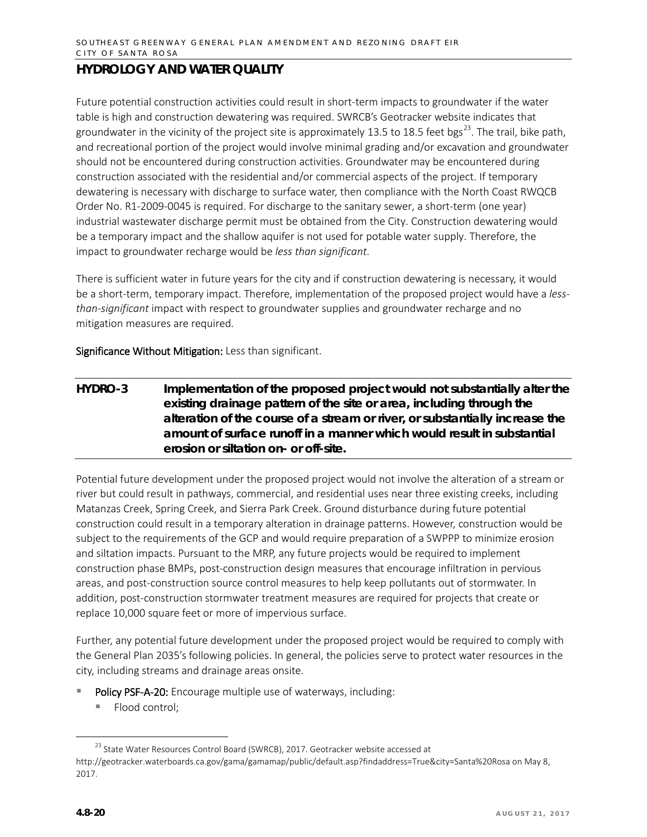Future potential construction activities could result in short-term impacts to groundwater if the water table is high and construction dewatering was required. SWRCB's Geotracker website indicates that groundwater in the vicinity of the project site is approximately 13.5 to 18.5 feet bgs<sup>23</sup>. The trail, bike path, and recreational portion of the project would involve minimal grading and/or excavation and groundwater should not be encountered during construction activities. Groundwater may be encountered during construction associated with the residential and/or commercial aspects of the project. If temporary dewatering is necessary with discharge to surface water, then compliance with the North Coast RWQCB Order No. R1-2009-0045 is required. For discharge to the sanitary sewer, a short-term (one year) industrial wastewater discharge permit must be obtained from the City. Construction dewatering would be a temporary impact and the shallow aquifer is not used for potable water supply. Therefore, the impact to groundwater recharge would be *less than significant*.

There is sufficient water in future years for the city and if construction dewatering is necessary, it would be a short-term, temporary impact. Therefore, implementation of the proposed project would have a *lessthan-significant* impact with respect to groundwater supplies and groundwater recharge and no mitigation measures are required.

Significance Without Mitigation: Less than significant.

**HYDRO-3 Implementation of the proposed project would not substantially alter the existing drainage pattern of the site or area, including through the alteration of the course of a stream or river, or substantially increase the amount of surface runoff in a manner which would result in substantial erosion or siltation on- or off-site.**

Potential future development under the proposed project would not involve the alteration of a stream or river but could result in pathways, commercial, and residential uses near three existing creeks, including Matanzas Creek, Spring Creek, and Sierra Park Creek. Ground disturbance during future potential construction could result in a temporary alteration in drainage patterns. However, construction would be subject to the requirements of the GCP and would require preparation of a SWPPP to minimize erosion and siltation impacts. Pursuant to the MRP, any future projects would be required to implement construction phase BMPs, post-construction design measures that encourage infiltration in pervious areas, and post-construction source control measures to help keep pollutants out of stormwater. In addition, post-construction stormwater treatment measures are required for projects that create or replace 10,000 square feet or more of impervious surface.

Further, any potential future development under the proposed project would be required to comply with the General Plan 2035's following policies. In general, the policies serve to protect water resources in the city, including streams and drainage areas onsite.

- Policy PSF-A-20: Encourage multiple use of waterways, including:
	- Flood control;

<span id="page-19-0"></span><sup>&</sup>lt;sup>23</sup> State Water Resources Control Board (SWRCB), 2017. Geotracker website accessed at <http://geotracker.waterboards.ca.gov/gama/gamamap/public/default.asp?findaddress=True&city=Santa%20Rosa> on May 8, 2017.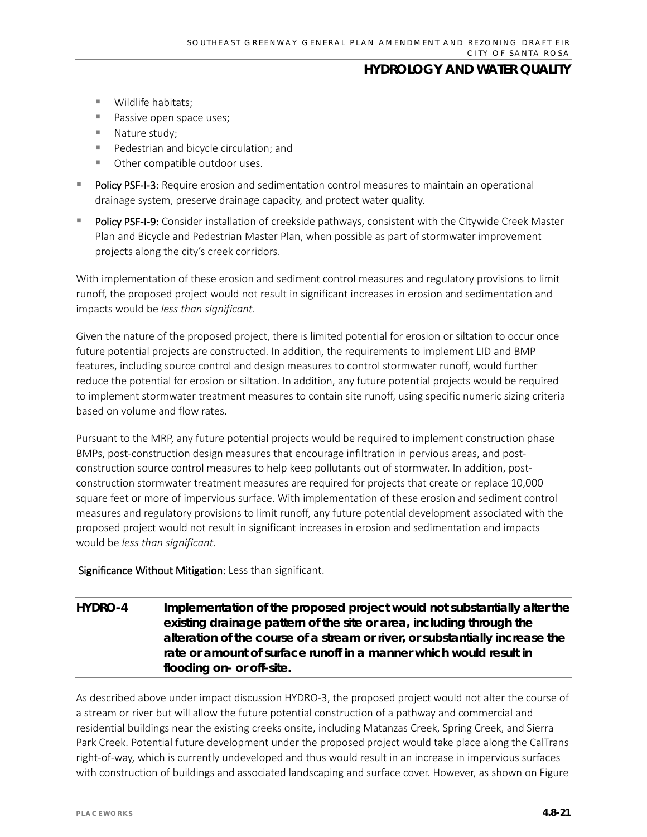- **Wildlife habitats:**
- Passive open space uses;
- Nature study;
- **Pedestrian and bicycle circulation; and**
- **COROO COMPATE OF COMPATE 15 INCRED** USES.
- Policy PSF-I-3: Require erosion and sedimentation control measures to maintain an operational drainage system, preserve drainage capacity, and protect water quality.
- Policy PSF-I-9: Consider installation of creekside pathways, consistent with the Citywide Creek Master Plan and Bicycle and Pedestrian Master Plan, when possible as part of stormwater improvement projects along the city's creek corridors.

With implementation of these erosion and sediment control measures and regulatory provisions to limit runoff, the proposed project would not result in significant increases in erosion and sedimentation and impacts would be *less than significant*.

Given the nature of the proposed project, there is limited potential for erosion or siltation to occur once future potential projects are constructed. In addition, the requirements to implement LID and BMP features, including source control and design measures to control stormwater runoff, would further reduce the potential for erosion or siltation. In addition, any future potential projects would be required to implement stormwater treatment measures to contain site runoff, using specific numeric sizing criteria based on volume and flow rates.

Pursuant to the MRP, any future potential projects would be required to implement construction phase BMPs, post-construction design measures that encourage infiltration in pervious areas, and postconstruction source control measures to help keep pollutants out of stormwater. In addition, postconstruction stormwater treatment measures are required for projects that create or replace 10,000 square feet or more of impervious surface. With implementation of these erosion and sediment control measures and regulatory provisions to limit runoff, any future potential development associated with the proposed project would not result in significant increases in erosion and sedimentation and impacts would be *less than significant*.

#### Significance Without Mitigation: Less than significant.

**HYDRO-4 Implementation of the proposed project would not substantially alter the existing drainage pattern of the site or area, including through the alteration of the course of a stream or river, or substantially increase the rate or amount of surface runoff in a manner which would result in flooding on- or off-site.**

As described above under impact discussion HYDRO-3, the proposed project would not alter the course of a stream or river but will allow the future potential construction of a pathway and commercial and residential buildings near the existing creeks onsite, including Matanzas Creek, Spring Creek, and Sierra Park Creek. Potential future development under the proposed project would take place along the CalTrans right-of-way, which is currently undeveloped and thus would result in an increase in impervious surfaces with construction of buildings and associated landscaping and surface cover. However, as shown on Figure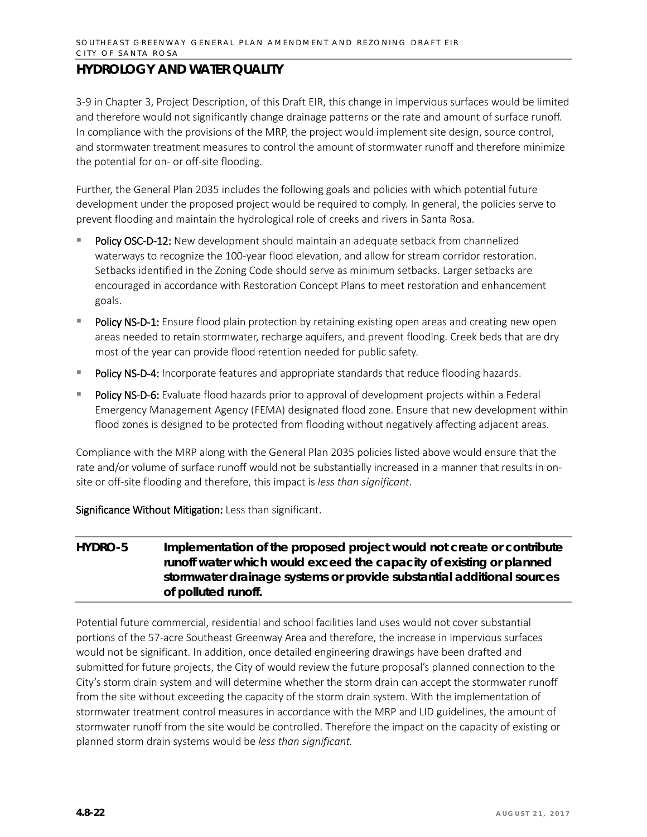3-9 in Chapter 3, Project Description, of this Draft EIR, this change in impervious surfaces would be limited and therefore would not significantly change drainage patterns or the rate and amount of surface runoff. In compliance with the provisions of the MRP, the project would implement site design, source control, and stormwater treatment measures to control the amount of stormwater runoff and therefore minimize the potential for on- or off-site flooding.

Further, the General Plan 2035 includes the following goals and policies with which potential future development under the proposed project would be required to comply. In general, the policies serve to prevent flooding and maintain the hydrological role of creeks and rivers in Santa Rosa.

- Policy OSC-D-12: New development should maintain an adequate setback from channelized waterways to recognize the 100-year flood elevation, and allow for stream corridor restoration. Setbacks identified in the Zoning Code should serve as minimum setbacks. Larger setbacks are encouraged in accordance with Restoration Concept Plans to meet restoration and enhancement goals.
- Policy NS-D-1: Ensure flood plain protection by retaining existing open areas and creating new open areas needed to retain stormwater, recharge aquifers, and prevent flooding. Creek beds that are dry most of the year can provide flood retention needed for public safety.
- Policy NS-D-4: Incorporate features and appropriate standards that reduce flooding hazards.
- Policy NS-D-6: Evaluate flood hazards prior to approval of development projects within a Federal Emergency Management Agency (FEMA) designated flood zone. Ensure that new development within flood zones is designed to be protected from flooding without negatively affecting adjacent areas.

Compliance with the MRP along with the General Plan 2035 policies listed above would ensure that the rate and/or volume of surface runoff would not be substantially increased in a manner that results in onsite or off-site flooding and therefore, this impact is *less than significant*.

Significance Without Mitigation: Less than significant.

### **HYDRO-5 Implementation of the proposed project would not create or contribute runoff water which would exceed the capacity of existing or planned stormwater drainage systems or provide substantial additional sources of polluted runoff.**

Potential future commercial, residential and school facilities land uses would not cover substantial portions of the 57-acre Southeast Greenway Area and therefore, the increase in impervious surfaces would not be significant. In addition, once detailed engineering drawings have been drafted and submitted for future projects, the City of would review the future proposal's planned connection to the City's storm drain system and will determine whether the storm drain can accept the stormwater runoff from the site without exceeding the capacity of the storm drain system. With the implementation of stormwater treatment control measures in accordance with the MRP and LID guidelines, the amount of stormwater runoff from the site would be controlled. Therefore the impact on the capacity of existing or planned storm drain systems would be *less than significant.*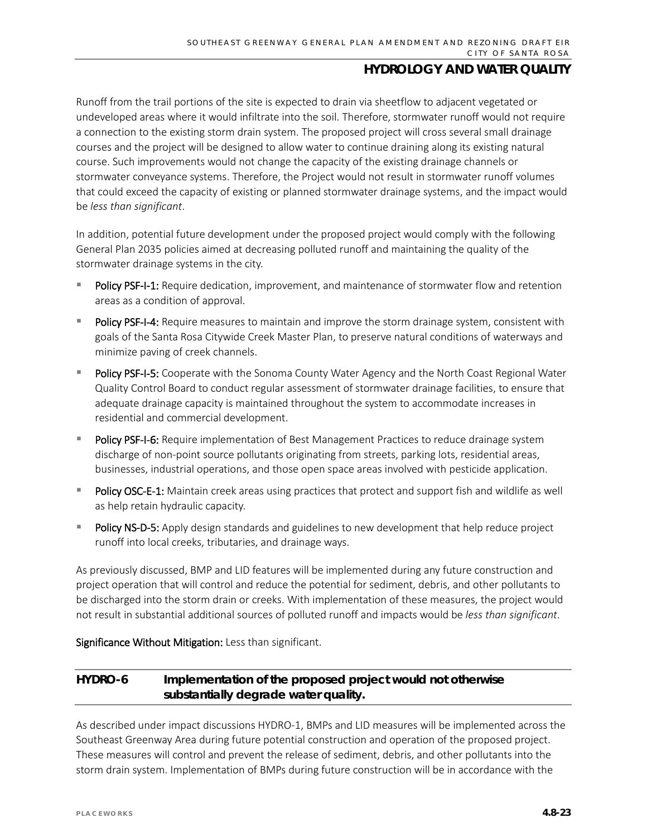Runoff from the trail portions of the site is expected to drain via sheetflow to adjacent vegetated or undeveloped areas where it would infiltrate into the soil. Therefore, stormwater runoff would not require a connection to the existing storm drain system. The proposed project will cross several small drainage courses and the project will be designed to allow water to continue draining along its existing natural course. Such improvements would not change the capacity of the existing drainage channels or stormwater conveyance systems. Therefore, the Project would not result in stormwater runoff volumes that could exceed the capacity of existing or planned stormwater drainage systems, and the impact would be *less than significant*.

In addition, potential future development under the proposed project would comply with the following General Plan 2035 policies aimed at decreasing polluted runoff and maintaining the quality of the stormwater drainage systems in the city.

- Policy PSF-I-1: Require dedication, improvement, and maintenance of stormwater flow and retention areas as a condition of approval.
- Policy PSF-I-4: Require measures to maintain and improve the storm drainage system, consistent with goals of the Santa Rosa Citywide Creek Master Plan, to preserve natural conditions of waterways and minimize paving of creek channels.
- Policy PSF-I-5: Cooperate with the Sonoma County Water Agency and the North Coast Regional Water Quality Control Board to conduct regular assessment of stormwater drainage facilities, to ensure that adequate drainage capacity is maintained throughout the system to accommodate increases in residential and commercial development.
- **Policy PSF-I-6:** Require implementation of Best Management Practices to reduce drainage system discharge of non-point source pollutants originating from streets, parking lots, residential areas, businesses, industrial operations, and those open space areas involved with pesticide application.
- Policy OSC-E-1: Maintain creek areas using practices that protect and support fish and wildlife as well as help retain hydraulic capacity.
- Policy NS-D-5: Apply design standards and guidelines to new development that help reduce project runoff into local creeks, tributaries, and drainage ways.

As previously discussed, BMP and LID features will be implemented during any future construction and project operation that will control and reduce the potential for sediment, debris, and other pollutants to be discharged into the storm drain or creeks. With implementation of these measures, the project would not result in substantial additional sources of polluted runoff and impacts would be *less than significant*.

Significance Without Mitigation: Less than significant.

### **HYDRO-6 Implementation of the proposed project would not otherwise substantially degrade water quality.**

As described under impact discussions HYDRO-1, BMPs and LID measures will be implemented across the Southeast Greenway Area during future potential construction and operation of the proposed project. These measures will control and prevent the release of sediment, debris, and other pollutants into the storm drain system. Implementation of BMPs during future construction will be in accordance with the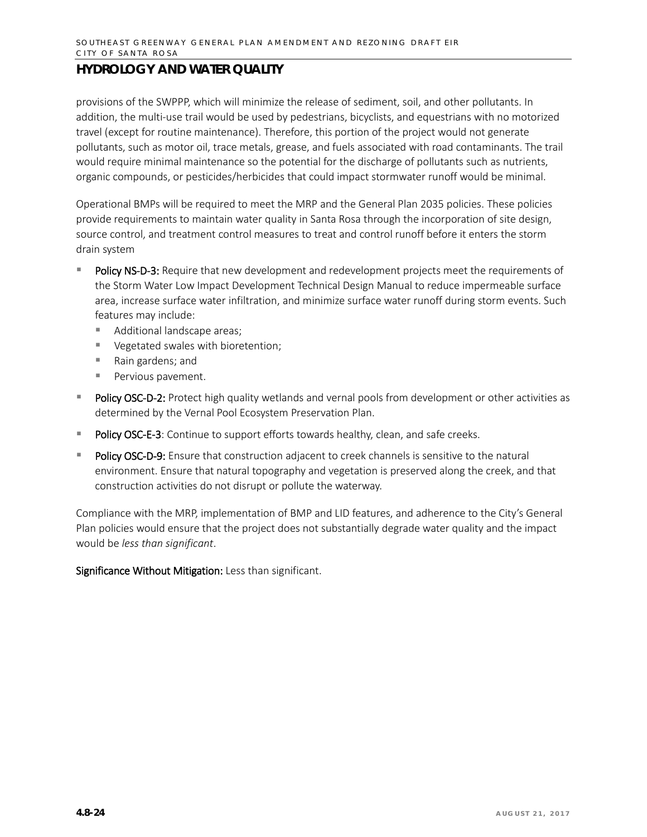provisions of the SWPPP, which will minimize the release of sediment, soil, and other pollutants. In addition, the multi-use trail would be used by pedestrians, bicyclists, and equestrians with no motorized travel (except for routine maintenance). Therefore, this portion of the project would not generate pollutants, such as motor oil, trace metals, grease, and fuels associated with road contaminants. The trail would require minimal maintenance so the potential for the discharge of pollutants such as nutrients, organic compounds, or pesticides/herbicides that could impact stormwater runoff would be minimal.

Operational BMPs will be required to meet the MRP and the General Plan 2035 policies. These policies provide requirements to maintain water quality in Santa Rosa through the incorporation of site design, source control, and treatment control measures to treat and control runoff before it enters the storm drain system

- Policy NS-D-3: Require that new development and redevelopment projects meet the requirements of the Storm Water Low Impact Development Technical Design Manual to reduce impermeable surface area, increase surface water infiltration, and minimize surface water runoff during storm events. Such features may include:
	- **Additional landscape areas;**
	- Vegetated swales with bioretention;
	- Rain gardens; and
	- **Pervious pavement.**
- **Policy OSC-D-2:** Protect high quality wetlands and vernal pools from development or other activities as determined by the Vernal Pool Ecosystem Preservation Plan.
- Policy OSC-E-3: Continue to support efforts towards healthy, clean, and safe creeks.
- Policy OSC-D-9: Ensure that construction adjacent to creek channels is sensitive to the natural environment. Ensure that natural topography and vegetation is preserved along the creek, and that construction activities do not disrupt or pollute the waterway.

Compliance with the MRP, implementation of BMP and LID features, and adherence to the City's General Plan policies would ensure that the project does not substantially degrade water quality and the impact would be *less than significant*.

Significance Without Mitigation: Less than significant.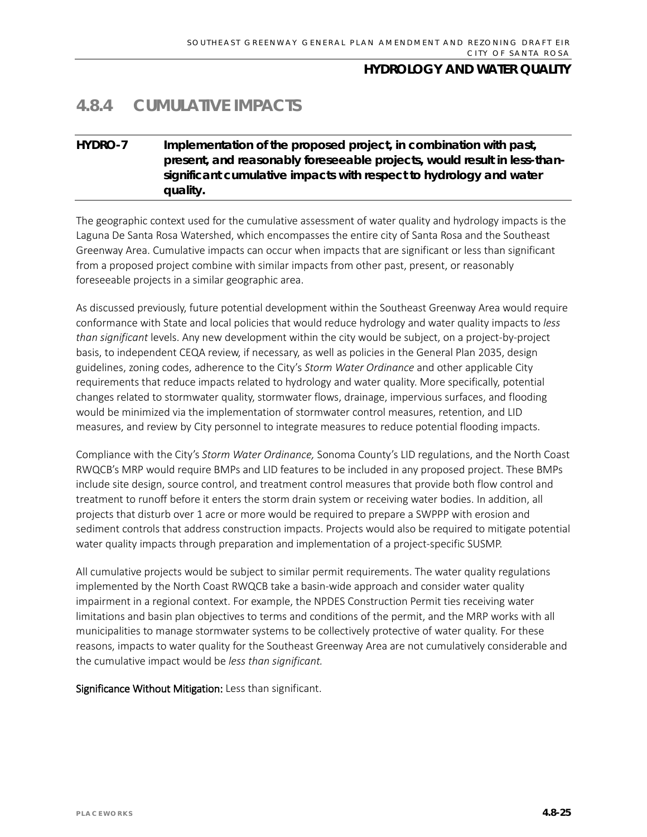# **4.8.4 CUMULATIVE IMPACTS**

### **HYDRO-7 Implementation of the proposed project, in combination with past, present, and reasonably foreseeable projects, would result in less-thansignificant cumulative impacts with respect to hydrology and water quality.**

The geographic context used for the cumulative assessment of water quality and hydrology impacts is the Laguna De Santa Rosa Watershed, which encompasses the entire city of Santa Rosa and the Southeast Greenway Area. Cumulative impacts can occur when impacts that are significant or less than significant from a proposed project combine with similar impacts from other past, present, or reasonably foreseeable projects in a similar geographic area.

As discussed previously, future potential development within the Southeast Greenway Area would require conformance with State and local policies that would reduce hydrology and water quality impacts to *less than significant* levels. Any new development within the city would be subject, on a project-by-project basis, to independent CEQA review, if necessary, as well as policies in the General Plan 2035, design guidelines, zoning codes, adherence to the City's *Storm Water Ordinance* and other applicable City requirements that reduce impacts related to hydrology and water quality. More specifically, potential changes related to stormwater quality, stormwater flows, drainage, impervious surfaces, and flooding would be minimized via the implementation of stormwater control measures, retention, and LID measures, and review by City personnel to integrate measures to reduce potential flooding impacts.

Compliance with the City's *Storm Water Ordinance,* Sonoma County's LID regulations, and the North Coast RWQCB's MRP would require BMPs and LID features to be included in any proposed project. These BMPs include site design, source control, and treatment control measures that provide both flow control and treatment to runoff before it enters the storm drain system or receiving water bodies. In addition, all projects that disturb over 1 acre or more would be required to prepare a SWPPP with erosion and sediment controls that address construction impacts. Projects would also be required to mitigate potential water quality impacts through preparation and implementation of a project-specific SUSMP.

All cumulative projects would be subject to similar permit requirements. The water quality regulations implemented by the North Coast RWQCB take a basin-wide approach and consider water quality impairment in a regional context. For example, the NPDES Construction Permit ties receiving water limitations and basin plan objectives to terms and conditions of the permit, and the MRP works with all municipalities to manage stormwater systems to be collectively protective of water quality. For these reasons, impacts to water quality for the Southeast Greenway Area are not cumulatively considerable and the cumulative impact would be *less than significant.*

Significance Without Mitigation: Less than significant.